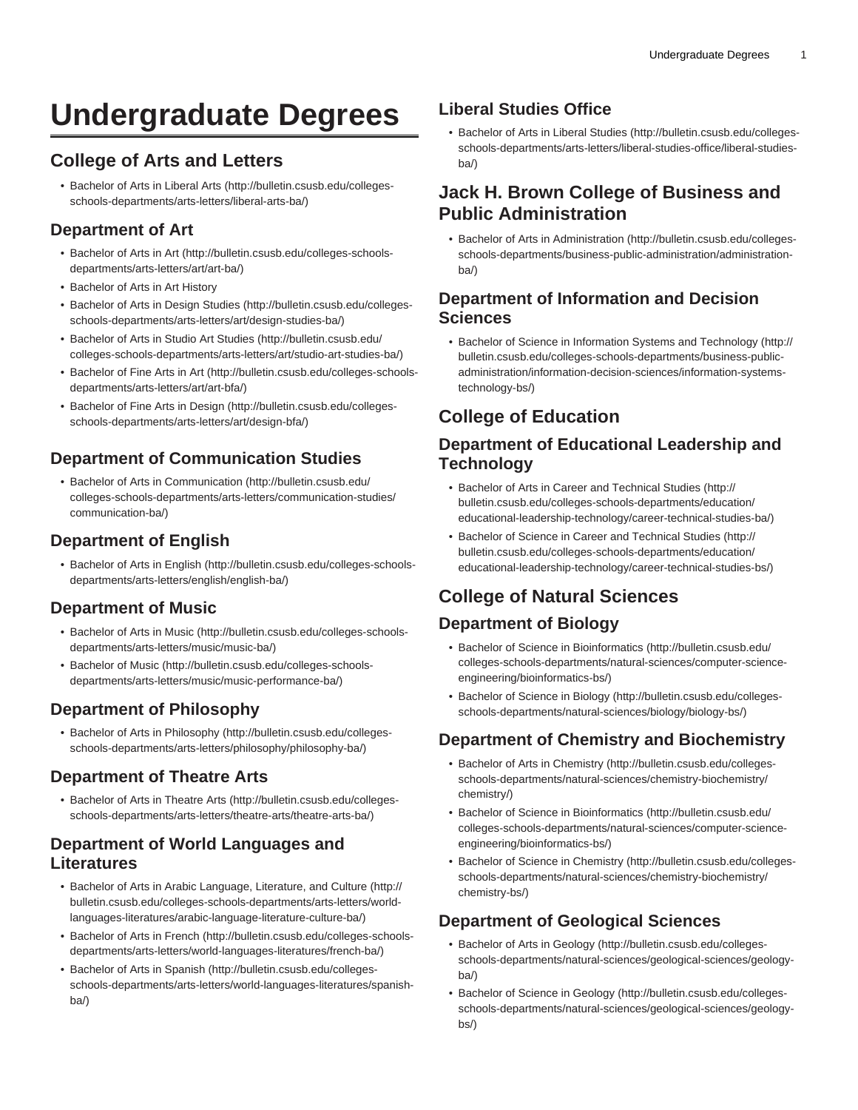# **Undergraduate Degrees**

# **College of Arts and Letters**

• [Bachelor of Arts in Liberal Arts](http://bulletin.csusb.edu/colleges-schools-departments/arts-letters/liberal-arts-ba/) ([http://bulletin.csusb.edu/colleges](http://bulletin.csusb.edu/colleges-schools-departments/arts-letters/liberal-arts-ba/)[schools-departments/arts-letters/liberal-arts-ba/\)](http://bulletin.csusb.edu/colleges-schools-departments/arts-letters/liberal-arts-ba/)

#### **Department of Art**

- [Bachelor of Arts in Art](http://bulletin.csusb.edu/colleges-schools-departments/arts-letters/art/art-ba/) ([http://bulletin.csusb.edu/colleges-schools](http://bulletin.csusb.edu/colleges-schools-departments/arts-letters/art/art-ba/)[departments/arts-letters/art/art-ba/](http://bulletin.csusb.edu/colleges-schools-departments/arts-letters/art/art-ba/))
- Bachelor of Arts in Art History
- [Bachelor of Arts in Design Studies](http://bulletin.csusb.edu/colleges-schools-departments/arts-letters/art/design-studies-ba/) [\(http://bulletin.csusb.edu/colleges](http://bulletin.csusb.edu/colleges-schools-departments/arts-letters/art/design-studies-ba/)[schools-departments/arts-letters/art/design-studies-ba/](http://bulletin.csusb.edu/colleges-schools-departments/arts-letters/art/design-studies-ba/))
- [Bachelor of Arts in Studio Art Studies](http://bulletin.csusb.edu/colleges-schools-departments/arts-letters/art/studio-art-studies-ba/) ([http://bulletin.csusb.edu/](http://bulletin.csusb.edu/colleges-schools-departments/arts-letters/art/studio-art-studies-ba/) [colleges-schools-departments/arts-letters/art/studio-art-studies-ba/](http://bulletin.csusb.edu/colleges-schools-departments/arts-letters/art/studio-art-studies-ba/))
- [Bachelor of Fine Arts in Art \(http://bulletin.csusb.edu/colleges-schools](http://bulletin.csusb.edu/colleges-schools-departments/arts-letters/art/art-bfa/)[departments/arts-letters/art/art-bfa/\)](http://bulletin.csusb.edu/colleges-schools-departments/arts-letters/art/art-bfa/)
- [Bachelor of Fine Arts in Design](http://bulletin.csusb.edu/colleges-schools-departments/arts-letters/art/design-bfa/) [\(http://bulletin.csusb.edu/colleges](http://bulletin.csusb.edu/colleges-schools-departments/arts-letters/art/design-bfa/)[schools-departments/arts-letters/art/design-bfa/\)](http://bulletin.csusb.edu/colleges-schools-departments/arts-letters/art/design-bfa/)

# **Department of Communication Studies**

• [Bachelor of Arts in Communication](http://bulletin.csusb.edu/colleges-schools-departments/arts-letters/communication-studies/communication-ba/) [\(http://bulletin.csusb.edu/](http://bulletin.csusb.edu/colleges-schools-departments/arts-letters/communication-studies/communication-ba/) [colleges-schools-departments/arts-letters/communication-studies/](http://bulletin.csusb.edu/colleges-schools-departments/arts-letters/communication-studies/communication-ba/) [communication-ba/\)](http://bulletin.csusb.edu/colleges-schools-departments/arts-letters/communication-studies/communication-ba/)

# **Department of English**

• [Bachelor of Arts in English](http://bulletin.csusb.edu/colleges-schools-departments/arts-letters/english/english-ba/) ([http://bulletin.csusb.edu/colleges-schools](http://bulletin.csusb.edu/colleges-schools-departments/arts-letters/english/english-ba/)[departments/arts-letters/english/english-ba/](http://bulletin.csusb.edu/colleges-schools-departments/arts-letters/english/english-ba/))

#### **Department of Music**

- [Bachelor of Arts in Music](http://bulletin.csusb.edu/colleges-schools-departments/arts-letters/music/music-ba/) [\(http://bulletin.csusb.edu/colleges-schools](http://bulletin.csusb.edu/colleges-schools-departments/arts-letters/music/music-ba/)[departments/arts-letters/music/music-ba/](http://bulletin.csusb.edu/colleges-schools-departments/arts-letters/music/music-ba/))
- [Bachelor of Music \(http://bulletin.csusb.edu/colleges-schools](http://bulletin.csusb.edu/colleges-schools-departments/arts-letters/music/music-performance-ba/)[departments/arts-letters/music/music-performance-ba/](http://bulletin.csusb.edu/colleges-schools-departments/arts-letters/music/music-performance-ba/))

# **Department of Philosophy**

• [Bachelor of Arts in Philosophy](http://bulletin.csusb.edu/colleges-schools-departments/arts-letters/philosophy/philosophy-ba/) ([http://bulletin.csusb.edu/colleges](http://bulletin.csusb.edu/colleges-schools-departments/arts-letters/philosophy/philosophy-ba/)[schools-departments/arts-letters/philosophy/philosophy-ba/\)](http://bulletin.csusb.edu/colleges-schools-departments/arts-letters/philosophy/philosophy-ba/)

# **Department of Theatre Arts**

• [Bachelor of Arts in Theatre Arts \(http://bulletin.csusb.edu/colleges](http://bulletin.csusb.edu/colleges-schools-departments/arts-letters/theatre-arts/theatre-arts-ba/)[schools-departments/arts-letters/theatre-arts/theatre-arts-ba/](http://bulletin.csusb.edu/colleges-schools-departments/arts-letters/theatre-arts/theatre-arts-ba/))

# **Department of World Languages and Literatures**

- [Bachelor of Arts in Arabic Language, Literature, and Culture](http://bulletin.csusb.edu/colleges-schools-departments/arts-letters/world-languages-literatures/arabic-language-literature-culture-ba/) ([http://](http://bulletin.csusb.edu/colleges-schools-departments/arts-letters/world-languages-literatures/arabic-language-literature-culture-ba/) [bulletin.csusb.edu/colleges-schools-departments/arts-letters/world](http://bulletin.csusb.edu/colleges-schools-departments/arts-letters/world-languages-literatures/arabic-language-literature-culture-ba/)[languages-literatures/arabic-language-literature-culture-ba/\)](http://bulletin.csusb.edu/colleges-schools-departments/arts-letters/world-languages-literatures/arabic-language-literature-culture-ba/)
- [Bachelor of Arts in French](http://bulletin.csusb.edu/colleges-schools-departments/arts-letters/world-languages-literatures/french-ba/) [\(http://bulletin.csusb.edu/colleges-schools](http://bulletin.csusb.edu/colleges-schools-departments/arts-letters/world-languages-literatures/french-ba/)[departments/arts-letters/world-languages-literatures/french-ba/](http://bulletin.csusb.edu/colleges-schools-departments/arts-letters/world-languages-literatures/french-ba/))
- [Bachelor of Arts in Spanish](http://bulletin.csusb.edu/colleges-schools-departments/arts-letters/world-languages-literatures/spanish-ba/) [\(http://bulletin.csusb.edu/colleges](http://bulletin.csusb.edu/colleges-schools-departments/arts-letters/world-languages-literatures/spanish-ba/)[schools-departments/arts-letters/world-languages-literatures/spanish](http://bulletin.csusb.edu/colleges-schools-departments/arts-letters/world-languages-literatures/spanish-ba/)[ba/](http://bulletin.csusb.edu/colleges-schools-departments/arts-letters/world-languages-literatures/spanish-ba/))

# **Liberal Studies Office**

• [Bachelor of Arts in Liberal Studies](http://bulletin.csusb.edu/colleges-schools-departments/arts-letters/liberal-studies-office/liberal-studies-ba/) ([http://bulletin.csusb.edu/colleges](http://bulletin.csusb.edu/colleges-schools-departments/arts-letters/liberal-studies-office/liberal-studies-ba/)[schools-departments/arts-letters/liberal-studies-office/liberal-studies](http://bulletin.csusb.edu/colleges-schools-departments/arts-letters/liberal-studies-office/liberal-studies-ba/)[ba/](http://bulletin.csusb.edu/colleges-schools-departments/arts-letters/liberal-studies-office/liberal-studies-ba/))

# **Jack H. Brown College of Business and Public Administration**

• [Bachelor of Arts in Administration](http://bulletin.csusb.edu/colleges-schools-departments/business-public-administration/administration-ba/) [\(http://bulletin.csusb.edu/colleges](http://bulletin.csusb.edu/colleges-schools-departments/business-public-administration/administration-ba/)[schools-departments/business-public-administration/administration](http://bulletin.csusb.edu/colleges-schools-departments/business-public-administration/administration-ba/)[ba/](http://bulletin.csusb.edu/colleges-schools-departments/business-public-administration/administration-ba/))

#### **Department of Information and Decision Sciences**

• [Bachelor of Science in Information Systems and Technology](http://bulletin.csusb.edu/colleges-schools-departments/business-public-administration/information-decision-sciences/information-systems-technology-bs/) ([http://](http://bulletin.csusb.edu/colleges-schools-departments/business-public-administration/information-decision-sciences/information-systems-technology-bs/) [bulletin.csusb.edu/colleges-schools-departments/business-public](http://bulletin.csusb.edu/colleges-schools-departments/business-public-administration/information-decision-sciences/information-systems-technology-bs/)[administration/information-decision-sciences/information-systems](http://bulletin.csusb.edu/colleges-schools-departments/business-public-administration/information-decision-sciences/information-systems-technology-bs/)[technology-bs/](http://bulletin.csusb.edu/colleges-schools-departments/business-public-administration/information-decision-sciences/information-systems-technology-bs/))

# **College of Education**

# **Department of Educational Leadership and Technology**

- [Bachelor of Arts in Career and Technical Studies](http://bulletin.csusb.edu/colleges-schools-departments/education/educational-leadership-technology/career-technical-studies-ba/) [\(http://](http://bulletin.csusb.edu/colleges-schools-departments/education/educational-leadership-technology/career-technical-studies-ba/) [bulletin.csusb.edu/colleges-schools-departments/education/](http://bulletin.csusb.edu/colleges-schools-departments/education/educational-leadership-technology/career-technical-studies-ba/) [educational-leadership-technology/career-technical-studies-ba/\)](http://bulletin.csusb.edu/colleges-schools-departments/education/educational-leadership-technology/career-technical-studies-ba/)
- [Bachelor of Science in Career and Technical Studies](http://bulletin.csusb.edu/colleges-schools-departments/education/educational-leadership-technology/career-technical-studies-bs/) [\(http://](http://bulletin.csusb.edu/colleges-schools-departments/education/educational-leadership-technology/career-technical-studies-bs/) [bulletin.csusb.edu/colleges-schools-departments/education/](http://bulletin.csusb.edu/colleges-schools-departments/education/educational-leadership-technology/career-technical-studies-bs/) [educational-leadership-technology/career-technical-studies-bs/\)](http://bulletin.csusb.edu/colleges-schools-departments/education/educational-leadership-technology/career-technical-studies-bs/)

# **College of Natural Sciences**

# **Department of Biology**

- [Bachelor of Science in Bioinformatics](http://bulletin.csusb.edu/colleges-schools-departments/natural-sciences/computer-science-engineering/bioinformatics-bs/) [\(http://bulletin.csusb.edu/](http://bulletin.csusb.edu/colleges-schools-departments/natural-sciences/computer-science-engineering/bioinformatics-bs/) [colleges-schools-departments/natural-sciences/computer-science](http://bulletin.csusb.edu/colleges-schools-departments/natural-sciences/computer-science-engineering/bioinformatics-bs/)[engineering/bioinformatics-bs/\)](http://bulletin.csusb.edu/colleges-schools-departments/natural-sciences/computer-science-engineering/bioinformatics-bs/)
- [Bachelor of Science in Biology](http://bulletin.csusb.edu/colleges-schools-departments/natural-sciences/biology/biology-bs/) [\(http://bulletin.csusb.edu/colleges](http://bulletin.csusb.edu/colleges-schools-departments/natural-sciences/biology/biology-bs/)[schools-departments/natural-sciences/biology/biology-bs/](http://bulletin.csusb.edu/colleges-schools-departments/natural-sciences/biology/biology-bs/))

#### **Department of Chemistry and Biochemistry**

- [Bachelor of Arts in Chemistry](http://bulletin.csusb.edu/colleges-schools-departments/natural-sciences/chemistry-biochemistry/chemistry/) ([http://bulletin.csusb.edu/colleges](http://bulletin.csusb.edu/colleges-schools-departments/natural-sciences/chemistry-biochemistry/chemistry/)[schools-departments/natural-sciences/chemistry-biochemistry/](http://bulletin.csusb.edu/colleges-schools-departments/natural-sciences/chemistry-biochemistry/chemistry/) [chemistry/\)](http://bulletin.csusb.edu/colleges-schools-departments/natural-sciences/chemistry-biochemistry/chemistry/)
- [Bachelor of Science in Bioinformatics](http://bulletin.csusb.edu/colleges-schools-departments/natural-sciences/computer-science-engineering/bioinformatics-bs/) [\(http://bulletin.csusb.edu/](http://bulletin.csusb.edu/colleges-schools-departments/natural-sciences/computer-science-engineering/bioinformatics-bs/) [colleges-schools-departments/natural-sciences/computer-science](http://bulletin.csusb.edu/colleges-schools-departments/natural-sciences/computer-science-engineering/bioinformatics-bs/)[engineering/bioinformatics-bs/\)](http://bulletin.csusb.edu/colleges-schools-departments/natural-sciences/computer-science-engineering/bioinformatics-bs/)
- [Bachelor of Science in Chemistry](http://bulletin.csusb.edu/colleges-schools-departments/natural-sciences/chemistry-biochemistry/chemistry-bs/) ([http://bulletin.csusb.edu/colleges](http://bulletin.csusb.edu/colleges-schools-departments/natural-sciences/chemistry-biochemistry/chemistry-bs/)[schools-departments/natural-sciences/chemistry-biochemistry/](http://bulletin.csusb.edu/colleges-schools-departments/natural-sciences/chemistry-biochemistry/chemistry-bs/) [chemistry-bs/\)](http://bulletin.csusb.edu/colleges-schools-departments/natural-sciences/chemistry-biochemistry/chemistry-bs/)

# **Department of Geological Sciences**

- [Bachelor of Arts in Geology \(http://bulletin.csusb.edu/colleges](http://bulletin.csusb.edu/colleges-schools-departments/natural-sciences/geological-sciences/geology-ba/)[schools-departments/natural-sciences/geological-sciences/geology](http://bulletin.csusb.edu/colleges-schools-departments/natural-sciences/geological-sciences/geology-ba/)[ba/](http://bulletin.csusb.edu/colleges-schools-departments/natural-sciences/geological-sciences/geology-ba/))
- [Bachelor of Science in Geology](http://bulletin.csusb.edu/colleges-schools-departments/natural-sciences/geological-sciences/geology-bs/) ([http://bulletin.csusb.edu/colleges](http://bulletin.csusb.edu/colleges-schools-departments/natural-sciences/geological-sciences/geology-bs/)[schools-departments/natural-sciences/geological-sciences/geology](http://bulletin.csusb.edu/colleges-schools-departments/natural-sciences/geological-sciences/geology-bs/)[bs/\)](http://bulletin.csusb.edu/colleges-schools-departments/natural-sciences/geological-sciences/geology-bs/)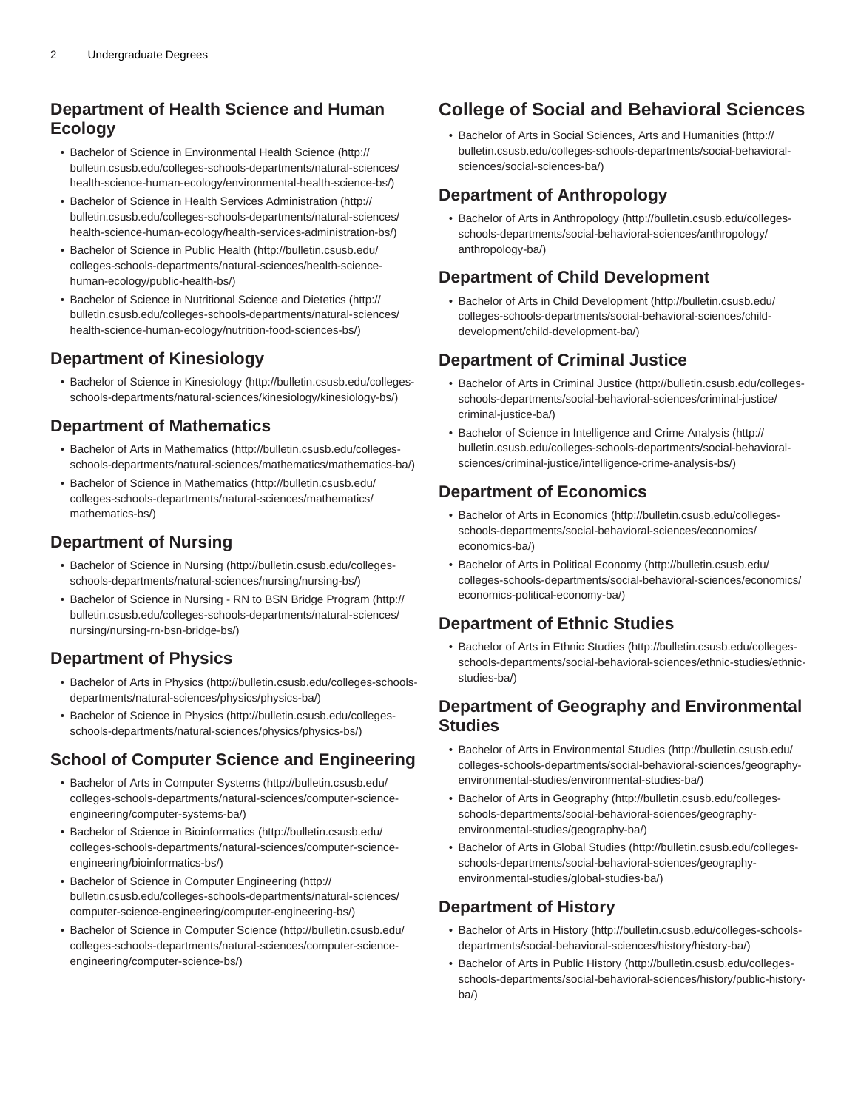# **Department of Health Science and Human Ecology**

- [Bachelor of Science in Environmental Health Science](http://bulletin.csusb.edu/colleges-schools-departments/natural-sciences/health-science-human-ecology/environmental-health-science-bs/) ([http://](http://bulletin.csusb.edu/colleges-schools-departments/natural-sciences/health-science-human-ecology/environmental-health-science-bs/) [bulletin.csusb.edu/colleges-schools-departments/natural-sciences/](http://bulletin.csusb.edu/colleges-schools-departments/natural-sciences/health-science-human-ecology/environmental-health-science-bs/) [health-science-human-ecology/environmental-health-science-bs/\)](http://bulletin.csusb.edu/colleges-schools-departments/natural-sciences/health-science-human-ecology/environmental-health-science-bs/)
- [Bachelor of Science in Health Services Administration](http://bulletin.csusb.edu/colleges-schools-departments/natural-sciences/health-science-human-ecology/health-services-administration-bs/) ([http://](http://bulletin.csusb.edu/colleges-schools-departments/natural-sciences/health-science-human-ecology/health-services-administration-bs/) [bulletin.csusb.edu/colleges-schools-departments/natural-sciences/](http://bulletin.csusb.edu/colleges-schools-departments/natural-sciences/health-science-human-ecology/health-services-administration-bs/) [health-science-human-ecology/health-services-administration-bs/\)](http://bulletin.csusb.edu/colleges-schools-departments/natural-sciences/health-science-human-ecology/health-services-administration-bs/)
- [Bachelor of Science in Public Health](http://bulletin.csusb.edu/colleges-schools-departments/natural-sciences/health-science-human-ecology/public-health-bs/) ([http://bulletin.csusb.edu/](http://bulletin.csusb.edu/colleges-schools-departments/natural-sciences/health-science-human-ecology/public-health-bs/) [colleges-schools-departments/natural-sciences/health-science](http://bulletin.csusb.edu/colleges-schools-departments/natural-sciences/health-science-human-ecology/public-health-bs/)[human-ecology/public-health-bs/\)](http://bulletin.csusb.edu/colleges-schools-departments/natural-sciences/health-science-human-ecology/public-health-bs/)
- [Bachelor of Science in Nutritional Science and Dietetics](http://bulletin.csusb.edu/colleges-schools-departments/natural-sciences/health-science-human-ecology/nutrition-food-sciences-bs/) ([http://](http://bulletin.csusb.edu/colleges-schools-departments/natural-sciences/health-science-human-ecology/nutrition-food-sciences-bs/) [bulletin.csusb.edu/colleges-schools-departments/natural-sciences/](http://bulletin.csusb.edu/colleges-schools-departments/natural-sciences/health-science-human-ecology/nutrition-food-sciences-bs/) [health-science-human-ecology/nutrition-food-sciences-bs/\)](http://bulletin.csusb.edu/colleges-schools-departments/natural-sciences/health-science-human-ecology/nutrition-food-sciences-bs/)

# **Department of Kinesiology**

• [Bachelor of Science in Kinesiology](http://bulletin.csusb.edu/colleges-schools-departments/natural-sciences/kinesiology/kinesiology-bs/) ([http://bulletin.csusb.edu/colleges](http://bulletin.csusb.edu/colleges-schools-departments/natural-sciences/kinesiology/kinesiology-bs/)[schools-departments/natural-sciences/kinesiology/kinesiology-bs/\)](http://bulletin.csusb.edu/colleges-schools-departments/natural-sciences/kinesiology/kinesiology-bs/)

# **Department of Mathematics**

- [Bachelor of Arts in Mathematics](http://bulletin.csusb.edu/colleges-schools-departments/natural-sciences/mathematics/mathematics-ba/) ([http://bulletin.csusb.edu/colleges](http://bulletin.csusb.edu/colleges-schools-departments/natural-sciences/mathematics/mathematics-ba/)[schools-departments/natural-sciences/mathematics/mathematics-ba/\)](http://bulletin.csusb.edu/colleges-schools-departments/natural-sciences/mathematics/mathematics-ba/)
- [Bachelor of Science in Mathematics](http://bulletin.csusb.edu/colleges-schools-departments/natural-sciences/mathematics/mathematics-bs/) [\(http://bulletin.csusb.edu/](http://bulletin.csusb.edu/colleges-schools-departments/natural-sciences/mathematics/mathematics-bs/) [colleges-schools-departments/natural-sciences/mathematics/](http://bulletin.csusb.edu/colleges-schools-departments/natural-sciences/mathematics/mathematics-bs/) [mathematics-bs/\)](http://bulletin.csusb.edu/colleges-schools-departments/natural-sciences/mathematics/mathematics-bs/)

# **Department of Nursing**

- [Bachelor of Science in Nursing](http://bulletin.csusb.edu/colleges-schools-departments/natural-sciences/nursing/nursing-bs/) [\(http://bulletin.csusb.edu/colleges](http://bulletin.csusb.edu/colleges-schools-departments/natural-sciences/nursing/nursing-bs/)[schools-departments/natural-sciences/nursing/nursing-bs/\)](http://bulletin.csusb.edu/colleges-schools-departments/natural-sciences/nursing/nursing-bs/)
- [Bachelor of Science in Nursing RN to BSN Bridge Program](http://bulletin.csusb.edu/colleges-schools-departments/natural-sciences/nursing/nursing-rn-bsn-bridge-bs/) ([http://](http://bulletin.csusb.edu/colleges-schools-departments/natural-sciences/nursing/nursing-rn-bsn-bridge-bs/) [bulletin.csusb.edu/colleges-schools-departments/natural-sciences/](http://bulletin.csusb.edu/colleges-schools-departments/natural-sciences/nursing/nursing-rn-bsn-bridge-bs/) [nursing/nursing-rn-bsn-bridge-bs/](http://bulletin.csusb.edu/colleges-schools-departments/natural-sciences/nursing/nursing-rn-bsn-bridge-bs/))

# **Department of Physics**

- [Bachelor of Arts in Physics](http://bulletin.csusb.edu/colleges-schools-departments/natural-sciences/physics/physics-ba/) [\(http://bulletin.csusb.edu/colleges-schools](http://bulletin.csusb.edu/colleges-schools-departments/natural-sciences/physics/physics-ba/)[departments/natural-sciences/physics/physics-ba/\)](http://bulletin.csusb.edu/colleges-schools-departments/natural-sciences/physics/physics-ba/)
- [Bachelor of Science in Physics](http://bulletin.csusb.edu/colleges-schools-departments/natural-sciences/physics/physics-bs/) [\(http://bulletin.csusb.edu/colleges](http://bulletin.csusb.edu/colleges-schools-departments/natural-sciences/physics/physics-bs/)[schools-departments/natural-sciences/physics/physics-bs/\)](http://bulletin.csusb.edu/colleges-schools-departments/natural-sciences/physics/physics-bs/)

#### **School of Computer Science and Engineering**

- [Bachelor of Arts in Computer Systems \(http://bulletin.csusb.edu/](http://bulletin.csusb.edu/colleges-schools-departments/natural-sciences/computer-science-engineering/computer-systems-ba/) [colleges-schools-departments/natural-sciences/computer-science](http://bulletin.csusb.edu/colleges-schools-departments/natural-sciences/computer-science-engineering/computer-systems-ba/)[engineering/computer-systems-ba/](http://bulletin.csusb.edu/colleges-schools-departments/natural-sciences/computer-science-engineering/computer-systems-ba/))
- [Bachelor of Science in Bioinformatics](http://bulletin.csusb.edu/colleges-schools-departments/natural-sciences/computer-science-engineering/bioinformatics-bs/) ([http://bulletin.csusb.edu/](http://bulletin.csusb.edu/colleges-schools-departments/natural-sciences/computer-science-engineering/bioinformatics-bs/) [colleges-schools-departments/natural-sciences/computer-science](http://bulletin.csusb.edu/colleges-schools-departments/natural-sciences/computer-science-engineering/bioinformatics-bs/)[engineering/bioinformatics-bs/\)](http://bulletin.csusb.edu/colleges-schools-departments/natural-sciences/computer-science-engineering/bioinformatics-bs/)
- [Bachelor of Science in Computer Engineering](http://bulletin.csusb.edu/colleges-schools-departments/natural-sciences/computer-science-engineering/computer-engineering-bs/) ([http://](http://bulletin.csusb.edu/colleges-schools-departments/natural-sciences/computer-science-engineering/computer-engineering-bs/) [bulletin.csusb.edu/colleges-schools-departments/natural-sciences/](http://bulletin.csusb.edu/colleges-schools-departments/natural-sciences/computer-science-engineering/computer-engineering-bs/) [computer-science-engineering/computer-engineering-bs/\)](http://bulletin.csusb.edu/colleges-schools-departments/natural-sciences/computer-science-engineering/computer-engineering-bs/)
- [Bachelor of Science in Computer Science](http://bulletin.csusb.edu/colleges-schools-departments/natural-sciences/computer-science-engineering/computer-science-bs/) ([http://bulletin.csusb.edu/](http://bulletin.csusb.edu/colleges-schools-departments/natural-sciences/computer-science-engineering/computer-science-bs/) [colleges-schools-departments/natural-sciences/computer-science](http://bulletin.csusb.edu/colleges-schools-departments/natural-sciences/computer-science-engineering/computer-science-bs/)[engineering/computer-science-bs/](http://bulletin.csusb.edu/colleges-schools-departments/natural-sciences/computer-science-engineering/computer-science-bs/))

# **College of Social and Behavioral Sciences**

• [Bachelor of Arts in Social Sciences, Arts and Humanities](http://bulletin.csusb.edu/colleges-schools-departments/social-behavioral-sciences/social-sciences-ba/) ([http://](http://bulletin.csusb.edu/colleges-schools-departments/social-behavioral-sciences/social-sciences-ba/) [bulletin.csusb.edu/colleges-schools-departments/social-behavioral](http://bulletin.csusb.edu/colleges-schools-departments/social-behavioral-sciences/social-sciences-ba/)[sciences/social-sciences-ba/\)](http://bulletin.csusb.edu/colleges-schools-departments/social-behavioral-sciences/social-sciences-ba/)

# **Department of Anthropology**

• [Bachelor of Arts in Anthropology](http://bulletin.csusb.edu/colleges-schools-departments/social-behavioral-sciences/anthropology/anthropology-ba/) ([http://bulletin.csusb.edu/colleges](http://bulletin.csusb.edu/colleges-schools-departments/social-behavioral-sciences/anthropology/anthropology-ba/)[schools-departments/social-behavioral-sciences/anthropology/](http://bulletin.csusb.edu/colleges-schools-departments/social-behavioral-sciences/anthropology/anthropology-ba/) [anthropology-ba/](http://bulletin.csusb.edu/colleges-schools-departments/social-behavioral-sciences/anthropology/anthropology-ba/))

# **Department of Child Development**

• [Bachelor of Arts in Child Development](http://bulletin.csusb.edu/colleges-schools-departments/social-behavioral-sciences/child-development/child-development-ba/) [\(http://bulletin.csusb.edu/](http://bulletin.csusb.edu/colleges-schools-departments/social-behavioral-sciences/child-development/child-development-ba/) [colleges-schools-departments/social-behavioral-sciences/child](http://bulletin.csusb.edu/colleges-schools-departments/social-behavioral-sciences/child-development/child-development-ba/)[development/child-development-ba/\)](http://bulletin.csusb.edu/colleges-schools-departments/social-behavioral-sciences/child-development/child-development-ba/)

# **Department of Criminal Justice**

- [Bachelor of Arts in Criminal Justice](http://bulletin.csusb.edu/colleges-schools-departments/social-behavioral-sciences/criminal-justice/criminal-justice-ba/) [\(http://bulletin.csusb.edu/colleges](http://bulletin.csusb.edu/colleges-schools-departments/social-behavioral-sciences/criminal-justice/criminal-justice-ba/)[schools-departments/social-behavioral-sciences/criminal-justice/](http://bulletin.csusb.edu/colleges-schools-departments/social-behavioral-sciences/criminal-justice/criminal-justice-ba/) [criminal-justice-ba/\)](http://bulletin.csusb.edu/colleges-schools-departments/social-behavioral-sciences/criminal-justice/criminal-justice-ba/)
- [Bachelor of Science in Intelligence and Crime Analysis \(http://](http://bulletin.csusb.edu/colleges-schools-departments/social-behavioral-sciences/criminal-justice/intelligence-crime-analysis-bs/) [bulletin.csusb.edu/colleges-schools-departments/social-behavioral](http://bulletin.csusb.edu/colleges-schools-departments/social-behavioral-sciences/criminal-justice/intelligence-crime-analysis-bs/)[sciences/criminal-justice/intelligence-crime-analysis-bs/\)](http://bulletin.csusb.edu/colleges-schools-departments/social-behavioral-sciences/criminal-justice/intelligence-crime-analysis-bs/)

# **Department of Economics**

- [Bachelor of Arts in Economics](http://bulletin.csusb.edu/colleges-schools-departments/social-behavioral-sciences/economics/economics-ba/) ([http://bulletin.csusb.edu/colleges](http://bulletin.csusb.edu/colleges-schools-departments/social-behavioral-sciences/economics/economics-ba/)[schools-departments/social-behavioral-sciences/economics/](http://bulletin.csusb.edu/colleges-schools-departments/social-behavioral-sciences/economics/economics-ba/) [economics-ba/](http://bulletin.csusb.edu/colleges-schools-departments/social-behavioral-sciences/economics/economics-ba/))
- [Bachelor of Arts in Political Economy](http://bulletin.csusb.edu/colleges-schools-departments/social-behavioral-sciences/economics/economics-political-economy-ba/) ([http://bulletin.csusb.edu/](http://bulletin.csusb.edu/colleges-schools-departments/social-behavioral-sciences/economics/economics-political-economy-ba/) [colleges-schools-departments/social-behavioral-sciences/economics/](http://bulletin.csusb.edu/colleges-schools-departments/social-behavioral-sciences/economics/economics-political-economy-ba/) [economics-political-economy-ba/\)](http://bulletin.csusb.edu/colleges-schools-departments/social-behavioral-sciences/economics/economics-political-economy-ba/)

# **Department of Ethnic Studies**

• [Bachelor of Arts in Ethnic Studies](http://bulletin.csusb.edu/colleges-schools-departments/social-behavioral-sciences/ethnic-studies/ethnic-studies-ba/) ([http://bulletin.csusb.edu/colleges](http://bulletin.csusb.edu/colleges-schools-departments/social-behavioral-sciences/ethnic-studies/ethnic-studies-ba/)[schools-departments/social-behavioral-sciences/ethnic-studies/ethnic](http://bulletin.csusb.edu/colleges-schools-departments/social-behavioral-sciences/ethnic-studies/ethnic-studies-ba/)[studies-ba/](http://bulletin.csusb.edu/colleges-schools-departments/social-behavioral-sciences/ethnic-studies/ethnic-studies-ba/))

#### **Department of Geography and Environmental Studies**

- [Bachelor of Arts in Environmental Studies](http://bulletin.csusb.edu/colleges-schools-departments/social-behavioral-sciences/geography-environmental-studies/environmental-studies-ba/) ([http://bulletin.csusb.edu/](http://bulletin.csusb.edu/colleges-schools-departments/social-behavioral-sciences/geography-environmental-studies/environmental-studies-ba/) [colleges-schools-departments/social-behavioral-sciences/geography](http://bulletin.csusb.edu/colleges-schools-departments/social-behavioral-sciences/geography-environmental-studies/environmental-studies-ba/)[environmental-studies/environmental-studies-ba/\)](http://bulletin.csusb.edu/colleges-schools-departments/social-behavioral-sciences/geography-environmental-studies/environmental-studies-ba/)
- [Bachelor of Arts in Geography](http://bulletin.csusb.edu/colleges-schools-departments/social-behavioral-sciences/geography-environmental-studies/geography-ba/) [\(http://bulletin.csusb.edu/colleges](http://bulletin.csusb.edu/colleges-schools-departments/social-behavioral-sciences/geography-environmental-studies/geography-ba/)[schools-departments/social-behavioral-sciences/geography](http://bulletin.csusb.edu/colleges-schools-departments/social-behavioral-sciences/geography-environmental-studies/geography-ba/)[environmental-studies/geography-ba/](http://bulletin.csusb.edu/colleges-schools-departments/social-behavioral-sciences/geography-environmental-studies/geography-ba/))
- [Bachelor of Arts in Global Studies](http://bulletin.csusb.edu/colleges-schools-departments/social-behavioral-sciences/geography-environmental-studies/global-studies-ba/) ([http://bulletin.csusb.edu/colleges](http://bulletin.csusb.edu/colleges-schools-departments/social-behavioral-sciences/geography-environmental-studies/global-studies-ba/)[schools-departments/social-behavioral-sciences/geography](http://bulletin.csusb.edu/colleges-schools-departments/social-behavioral-sciences/geography-environmental-studies/global-studies-ba/)[environmental-studies/global-studies-ba/\)](http://bulletin.csusb.edu/colleges-schools-departments/social-behavioral-sciences/geography-environmental-studies/global-studies-ba/)

# **Department of History**

- [Bachelor of Arts in History](http://bulletin.csusb.edu/colleges-schools-departments/social-behavioral-sciences/history/history-ba/) ([http://bulletin.csusb.edu/colleges-schools](http://bulletin.csusb.edu/colleges-schools-departments/social-behavioral-sciences/history/history-ba/)[departments/social-behavioral-sciences/history/history-ba/](http://bulletin.csusb.edu/colleges-schools-departments/social-behavioral-sciences/history/history-ba/))
- [Bachelor of Arts in Public History](http://bulletin.csusb.edu/colleges-schools-departments/social-behavioral-sciences/history/public-history-ba/) ([http://bulletin.csusb.edu/colleges](http://bulletin.csusb.edu/colleges-schools-departments/social-behavioral-sciences/history/public-history-ba/)[schools-departments/social-behavioral-sciences/history/public-history](http://bulletin.csusb.edu/colleges-schools-departments/social-behavioral-sciences/history/public-history-ba/)[ba/](http://bulletin.csusb.edu/colleges-schools-departments/social-behavioral-sciences/history/public-history-ba/))